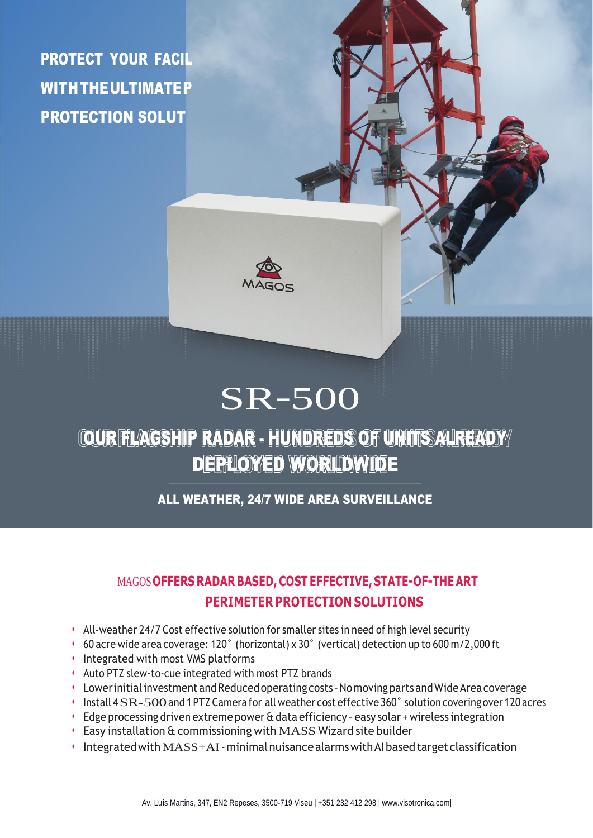PROTECTION SOLUT PROTECT YOUR FACIL WITH THE ULTIMATEP



# SR-500

## OUR FLAGSHIP RADAR - HUNDREDS OF UNITS ALREADY DEPLIOYED WORLDWIDE

ALL WEATHER, 24/7 WIDE AREA SURVEILLANCE

### MAGOS**OFFERS RADAR BASED, COST EFFECTIVE, STATE-OF-THE ART PERIMETER PROTECTION SOLUTIONS**

- All-weather 24/7 Cost effective solution for smaller sites in need of high level security
- 60 acre wide area coverage: 120˚ (horizontal) x 30˚ (vertical) detection up to 600 m/2,000 ft
- Integrated with most VMS platforms
- Auto PTZ slew-to-cue integrated with most PTZ brands
- Lower initial investment and Reduced operating costs Nomoving parts and Wide Area coverage
- Install <sup>4</sup>SR-500and 1PTZCamera for allweather cost effective <sup>360</sup>˚ solution covering over <sup>120</sup> acres
- Edge processing driven extreme power & data efficiency easy solar + wireless integration
- Easy installation & commissioning with MASS Wizard site builder
- Integratedwith MASS+AI-minimalnuisancealarmswithAIbasedtargetclassification